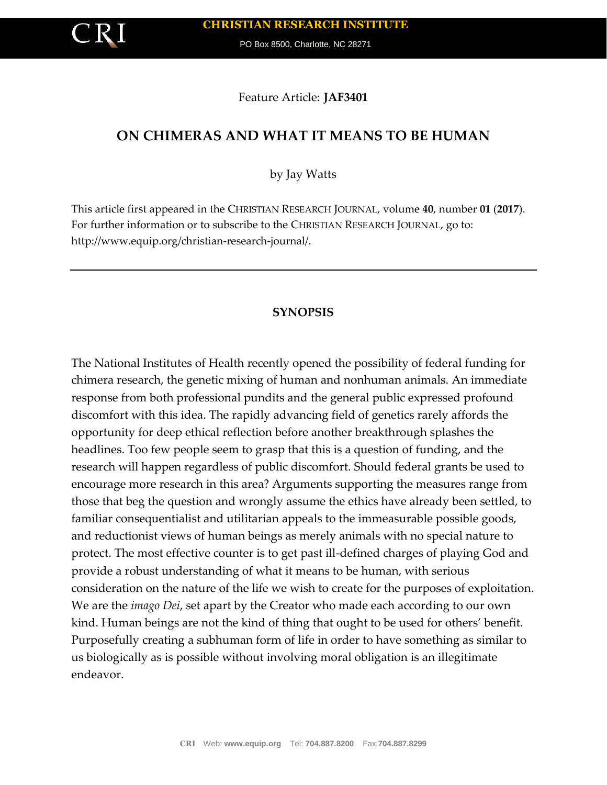PO Box 8500, Charlotte, NC 28271

Feature Article: **JAF3401**

# **ON CHIMERAS AND WHAT IT MEANS TO BE HUMAN**

by Jay Watts

This article first appeared in the CHRISTIAN RESEARCH JOURNAL, volume **40**, number **01** (**2017**). For further information or to subscribe to the CHRISTIAN RESEARCH JOURNAL, go to: http://www.equip.org/christian-research-journal/.

## **SYNOPSIS**

The National Institutes of Health recently opened the possibility of federal funding for chimera research, the genetic mixing of human and nonhuman animals. An immediate response from both professional pundits and the general public expressed profound discomfort with this idea. The rapidly advancing field of genetics rarely affords the opportunity for deep ethical reflection before another breakthrough splashes the headlines. Too few people seem to grasp that this is a question of funding, and the research will happen regardless of public discomfort. Should federal grants be used to encourage more research in this area? Arguments supporting the measures range from those that beg the question and wrongly assume the ethics have already been settled, to familiar consequentialist and utilitarian appeals to the immeasurable possible goods, and reductionist views of human beings as merely animals with no special nature to protect. The most effective counter is to get past ill-defined charges of playing God and provide a robust understanding of what it means to be human, with serious consideration on the nature of the life we wish to create for the purposes of exploitation. We are the *imago Dei*, set apart by the Creator who made each according to our own kind. Human beings are not the kind of thing that ought to be used for others' benefit. Purposefully creating a subhuman form of life in order to have something as similar to us biologically as is possible without involving moral obligation is an illegitimate endeavor.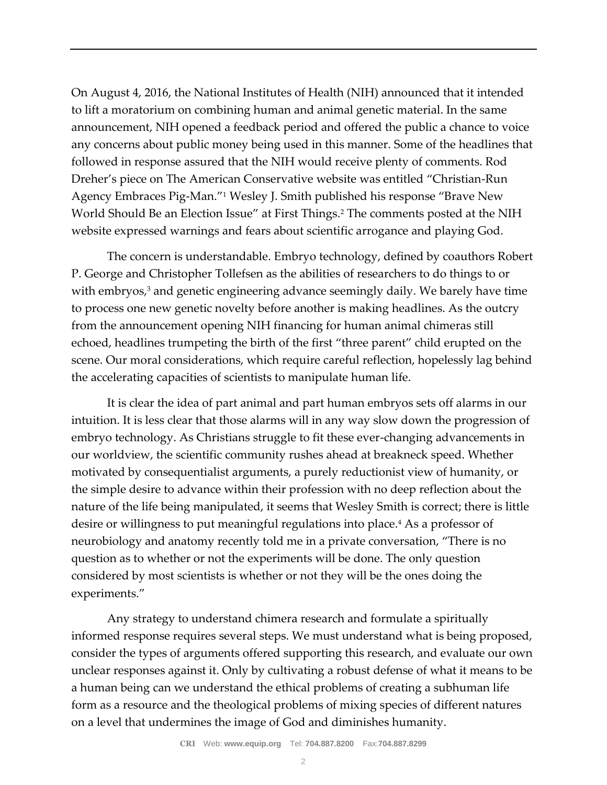On August 4, 2016, the National Institutes of Health (NIH) announced that it intended to lift a moratorium on combining human and animal genetic material. In the same announcement, NIH opened a feedback period and offered the public a chance to voice any concerns about public money being used in this manner. Some of the headlines that followed in response assured that the NIH would receive plenty of comments. Rod Dreher's piece on The American Conservative website was entitled "Christian-Run Agency Embraces Pig-Man."<sup>1</sup> Wesley J. Smith published his response "Brave New World Should Be an Election Issue" at First Things.<sup>2</sup> The comments posted at the NIH website expressed warnings and fears about scientific arrogance and playing God.

The concern is understandable. Embryo technology, defined by coauthors Robert P. George and Christopher Tollefsen as the abilities of researchers to do things to or with embryos,<sup>3</sup> and genetic engineering advance seemingly daily. We barely have time to process one new genetic novelty before another is making headlines. As the outcry from the announcement opening NIH financing for human animal chimeras still echoed, headlines trumpeting the birth of the first "three parent" child erupted on the scene. Our moral considerations, which require careful reflection, hopelessly lag behind the accelerating capacities of scientists to manipulate human life.

It is clear the idea of part animal and part human embryos sets off alarms in our intuition. It is less clear that those alarms will in any way slow down the progression of embryo technology. As Christians struggle to fit these ever-changing advancements in our worldview, the scientific community rushes ahead at breakneck speed. Whether motivated by consequentialist arguments, a purely reductionist view of humanity, or the simple desire to advance within their profession with no deep reflection about the nature of the life being manipulated, it seems that Wesley Smith is correct; there is little desire or willingness to put meaningful regulations into place.<sup>4</sup> As a professor of neurobiology and anatomy recently told me in a private conversation, "There is no question as to whether or not the experiments will be done. The only question considered by most scientists is whether or not they will be the ones doing the experiments."

Any strategy to understand chimera research and formulate a spiritually informed response requires several steps. We must understand what is being proposed, consider the types of arguments offered supporting this research, and evaluate our own unclear responses against it. Only by cultivating a robust defense of what it means to be a human being can we understand the ethical problems of creating a subhuman life form as a resource and the theological problems of mixing species of different natures on a level that undermines the image of God and diminishes humanity.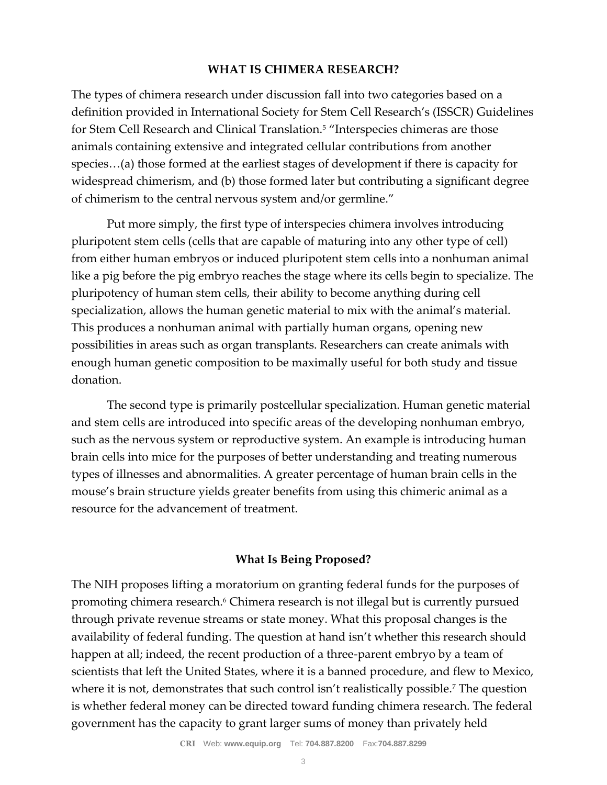### **WHAT IS CHIMERA RESEARCH?**

The types of chimera research under discussion fall into two categories based on a definition provided in International Society for Stem Cell Research's (ISSCR) Guidelines for Stem Cell Research and Clinical Translation.<sup>5</sup> "Interspecies chimeras are those animals containing extensive and integrated cellular contributions from another species…(a) those formed at the earliest stages of development if there is capacity for widespread chimerism, and (b) those formed later but contributing a significant degree of chimerism to the central nervous system and/or germline."

Put more simply, the first type of interspecies chimera involves introducing pluripotent stem cells (cells that are capable of maturing into any other type of cell) from either human embryos or induced pluripotent stem cells into a nonhuman animal like a pig before the pig embryo reaches the stage where its cells begin to specialize. The pluripotency of human stem cells, their ability to become anything during cell specialization, allows the human genetic material to mix with the animal's material. This produces a nonhuman animal with partially human organs, opening new possibilities in areas such as organ transplants. Researchers can create animals with enough human genetic composition to be maximally useful for both study and tissue donation.

The second type is primarily postcellular specialization. Human genetic material and stem cells are introduced into specific areas of the developing nonhuman embryo, such as the nervous system or reproductive system. An example is introducing human brain cells into mice for the purposes of better understanding and treating numerous types of illnesses and abnormalities. A greater percentage of human brain cells in the mouse's brain structure yields greater benefits from using this chimeric animal as a resource for the advancement of treatment.

#### **What Is Being Proposed?**

The NIH proposes lifting a moratorium on granting federal funds for the purposes of promoting chimera research.<sup>6</sup> Chimera research is not illegal but is currently pursued through private revenue streams or state money. What this proposal changes is the availability of federal funding. The question at hand isn't whether this research should happen at all; indeed, the recent production of a three-parent embryo by a team of scientists that left the United States, where it is a banned procedure, and flew to Mexico, where it is not, demonstrates that such control isn't realistically possible.<sup>7</sup> The question is whether federal money can be directed toward funding chimera research. The federal government has the capacity to grant larger sums of money than privately held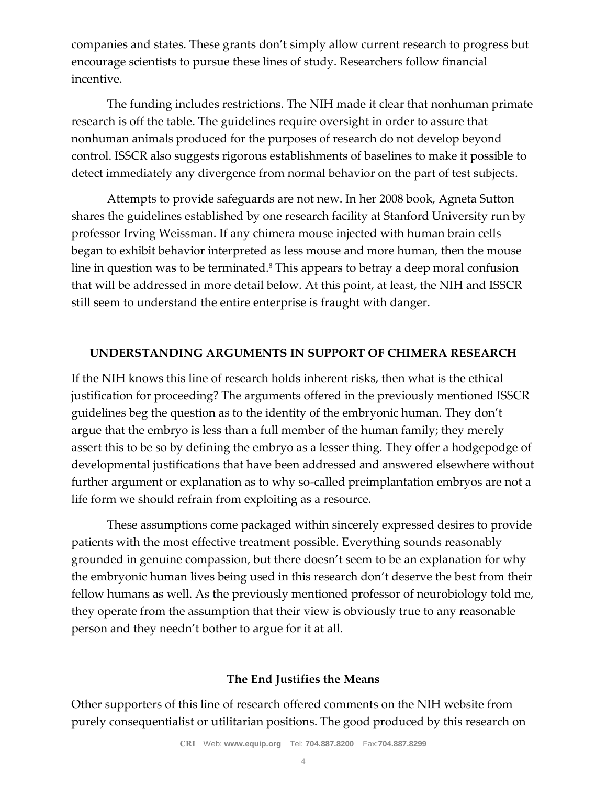companies and states. These grants don't simply allow current research to progress but encourage scientists to pursue these lines of study. Researchers follow financial incentive.

The funding includes restrictions. The NIH made it clear that nonhuman primate research is off the table. The guidelines require oversight in order to assure that nonhuman animals produced for the purposes of research do not develop beyond control. ISSCR also suggests rigorous establishments of baselines to make it possible to detect immediately any divergence from normal behavior on the part of test subjects.

Attempts to provide safeguards are not new. In her 2008 book, Agneta Sutton shares the guidelines established by one research facility at Stanford University run by professor Irving Weissman. If any chimera mouse injected with human brain cells began to exhibit behavior interpreted as less mouse and more human, then the mouse line in question was to be terminated.<sup>8</sup> This appears to betray a deep moral confusion that will be addressed in more detail below. At this point, at least, the NIH and ISSCR still seem to understand the entire enterprise is fraught with danger.

## **UNDERSTANDING ARGUMENTS IN SUPPORT OF CHIMERA RESEARCH**

If the NIH knows this line of research holds inherent risks, then what is the ethical justification for proceeding? The arguments offered in the previously mentioned ISSCR guidelines beg the question as to the identity of the embryonic human. They don't argue that the embryo is less than a full member of the human family; they merely assert this to be so by defining the embryo as a lesser thing. They offer a hodgepodge of developmental justifications that have been addressed and answered elsewhere without further argument or explanation as to why so-called preimplantation embryos are not a life form we should refrain from exploiting as a resource.

These assumptions come packaged within sincerely expressed desires to provide patients with the most effective treatment possible. Everything sounds reasonably grounded in genuine compassion, but there doesn't seem to be an explanation for why the embryonic human lives being used in this research don't deserve the best from their fellow humans as well. As the previously mentioned professor of neurobiology told me, they operate from the assumption that their view is obviously true to any reasonable person and they needn't bother to argue for it at all.

# **The End Justifies the Means**

Other supporters of this line of research offered comments on the NIH website from purely consequentialist or utilitarian positions. The good produced by this research on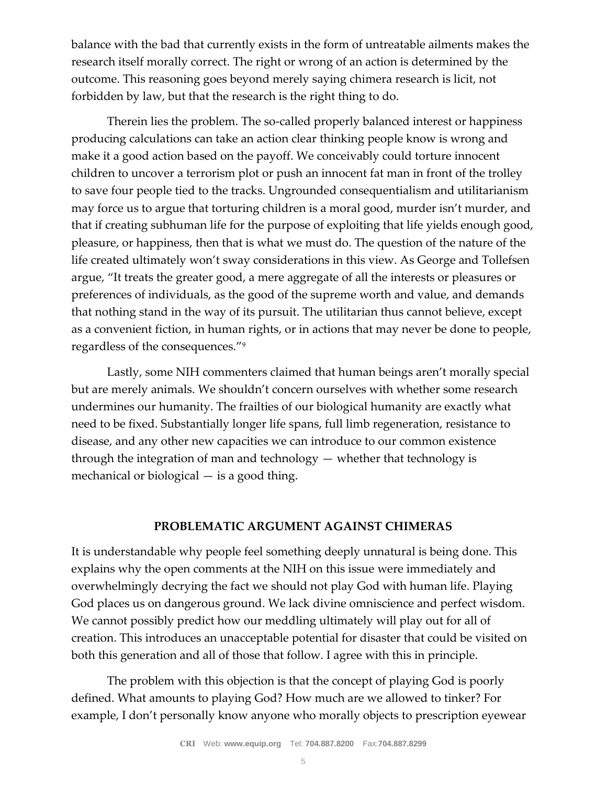balance with the bad that currently exists in the form of untreatable ailments makes the research itself morally correct. The right or wrong of an action is determined by the outcome. This reasoning goes beyond merely saying chimera research is licit, not forbidden by law, but that the research is the right thing to do.

Therein lies the problem. The so-called properly balanced interest or happiness producing calculations can take an action clear thinking people know is wrong and make it a good action based on the payoff. We conceivably could torture innocent children to uncover a terrorism plot or push an innocent fat man in front of the trolley to save four people tied to the tracks. Ungrounded consequentialism and utilitarianism may force us to argue that torturing children is a moral good, murder isn't murder, and that if creating subhuman life for the purpose of exploiting that life yields enough good, pleasure, or happiness, then that is what we must do. The question of the nature of the life created ultimately won't sway considerations in this view. As George and Tollefsen argue, "It treats the greater good, a mere aggregate of all the interests or pleasures or preferences of individuals, as the good of the supreme worth and value, and demands that nothing stand in the way of its pursuit. The utilitarian thus cannot believe, except as a convenient fiction, in human rights, or in actions that may never be done to people, regardless of the consequences."<sup>9</sup>

Lastly, some NIH commenters claimed that human beings aren't morally special but are merely animals. We shouldn't concern ourselves with whether some research undermines our humanity. The frailties of our biological humanity are exactly what need to be fixed. Substantially longer life spans, full limb regeneration, resistance to disease, and any other new capacities we can introduce to our common existence through the integration of man and technology  $-$  whether that technology is mechanical or biological — is a good thing.

## **PROBLEMATIC ARGUMENT AGAINST CHIMERAS**

It is understandable why people feel something deeply unnatural is being done. This explains why the open comments at the NIH on this issue were immediately and overwhelmingly decrying the fact we should not play God with human life. Playing God places us on dangerous ground. We lack divine omniscience and perfect wisdom. We cannot possibly predict how our meddling ultimately will play out for all of creation. This introduces an unacceptable potential for disaster that could be visited on both this generation and all of those that follow. I agree with this in principle.

The problem with this objection is that the concept of playing God is poorly defined. What amounts to playing God? How much are we allowed to tinker? For example, I don't personally know anyone who morally objects to prescription eyewear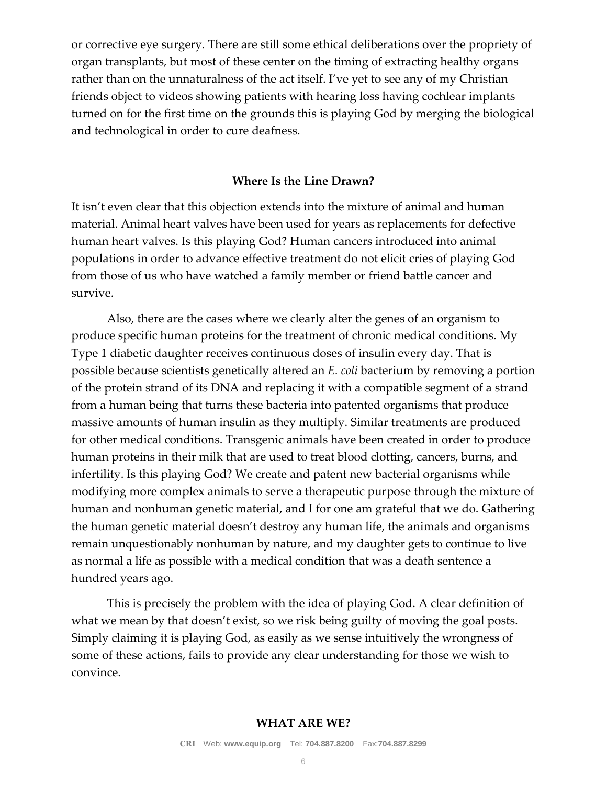or corrective eye surgery. There are still some ethical deliberations over the propriety of organ transplants, but most of these center on the timing of extracting healthy organs rather than on the unnaturalness of the act itself. I've yet to see any of my Christian friends object to videos showing patients with hearing loss having cochlear implants turned on for the first time on the grounds this is playing God by merging the biological and technological in order to cure deafness.

#### **Where Is the Line Drawn?**

It isn't even clear that this objection extends into the mixture of animal and human material. Animal heart valves have been used for years as replacements for defective human heart valves. Is this playing God? Human cancers introduced into animal populations in order to advance effective treatment do not elicit cries of playing God from those of us who have watched a family member or friend battle cancer and survive.

Also, there are the cases where we clearly alter the genes of an organism to produce specific human proteins for the treatment of chronic medical conditions. My Type 1 diabetic daughter receives continuous doses of insulin every day. That is possible because scientists genetically altered an *E. coli* bacterium by removing a portion of the protein strand of its DNA and replacing it with a compatible segment of a strand from a human being that turns these bacteria into patented organisms that produce massive amounts of human insulin as they multiply. Similar treatments are produced for other medical conditions. Transgenic animals have been created in order to produce human proteins in their milk that are used to treat blood clotting, cancers, burns, and infertility. Is this playing God? We create and patent new bacterial organisms while modifying more complex animals to serve a therapeutic purpose through the mixture of human and nonhuman genetic material, and I for one am grateful that we do. Gathering the human genetic material doesn't destroy any human life, the animals and organisms remain unquestionably nonhuman by nature, and my daughter gets to continue to live as normal a life as possible with a medical condition that was a death sentence a hundred years ago.

This is precisely the problem with the idea of playing God. A clear definition of what we mean by that doesn't exist, so we risk being guilty of moving the goal posts. Simply claiming it is playing God, as easily as we sense intuitively the wrongness of some of these actions, fails to provide any clear understanding for those we wish to convince.

#### **WHAT ARE WE?**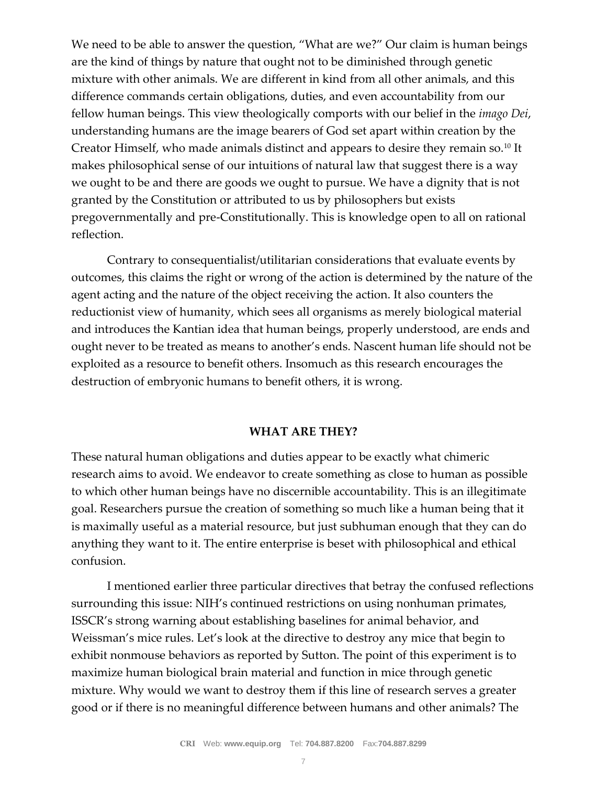We need to be able to answer the question, "What are we?" Our claim is human beings are the kind of things by nature that ought not to be diminished through genetic mixture with other animals. We are different in kind from all other animals, and this difference commands certain obligations, duties, and even accountability from our fellow human beings. This view theologically comports with our belief in the *imago Dei*, understanding humans are the image bearers of God set apart within creation by the Creator Himself, who made animals distinct and appears to desire they remain so.<sup>10</sup> It makes philosophical sense of our intuitions of natural law that suggest there is a way we ought to be and there are goods we ought to pursue. We have a dignity that is not granted by the Constitution or attributed to us by philosophers but exists pregovernmentally and pre-Constitutionally. This is knowledge open to all on rational reflection.

Contrary to consequentialist/utilitarian considerations that evaluate events by outcomes, this claims the right or wrong of the action is determined by the nature of the agent acting and the nature of the object receiving the action. It also counters the reductionist view of humanity, which sees all organisms as merely biological material and introduces the Kantian idea that human beings, properly understood, are ends and ought never to be treated as means to another's ends. Nascent human life should not be exploited as a resource to benefit others. Insomuch as this research encourages the destruction of embryonic humans to benefit others, it is wrong.

#### **WHAT ARE THEY?**

These natural human obligations and duties appear to be exactly what chimeric research aims to avoid. We endeavor to create something as close to human as possible to which other human beings have no discernible accountability. This is an illegitimate goal. Researchers pursue the creation of something so much like a human being that it is maximally useful as a material resource, but just subhuman enough that they can do anything they want to it. The entire enterprise is beset with philosophical and ethical confusion.

I mentioned earlier three particular directives that betray the confused reflections surrounding this issue: NIH's continued restrictions on using nonhuman primates, ISSCR's strong warning about establishing baselines for animal behavior, and Weissman's mice rules. Let's look at the directive to destroy any mice that begin to exhibit nonmouse behaviors as reported by Sutton. The point of this experiment is to maximize human biological brain material and function in mice through genetic mixture. Why would we want to destroy them if this line of research serves a greater good or if there is no meaningful difference between humans and other animals? The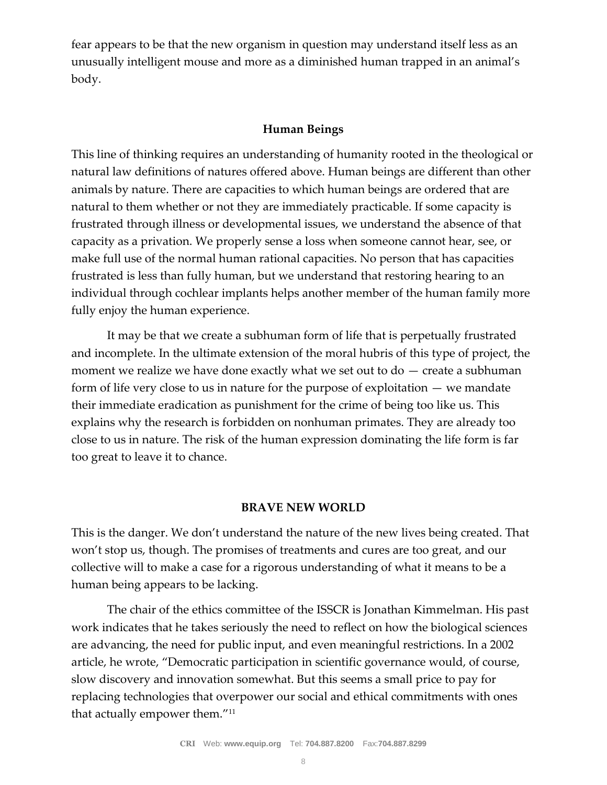fear appears to be that the new organism in question may understand itself less as an unusually intelligent mouse and more as a diminished human trapped in an animal's body.

### **Human Beings**

This line of thinking requires an understanding of humanity rooted in the theological or natural law definitions of natures offered above. Human beings are different than other animals by nature. There are capacities to which human beings are ordered that are natural to them whether or not they are immediately practicable. If some capacity is frustrated through illness or developmental issues, we understand the absence of that capacity as a privation. We properly sense a loss when someone cannot hear, see, or make full use of the normal human rational capacities. No person that has capacities frustrated is less than fully human, but we understand that restoring hearing to an individual through cochlear implants helps another member of the human family more fully enjoy the human experience.

It may be that we create a subhuman form of life that is perpetually frustrated and incomplete. In the ultimate extension of the moral hubris of this type of project, the moment we realize we have done exactly what we set out to  $do -$  create a subhuman form of life very close to us in nature for the purpose of exploitation — we mandate their immediate eradication as punishment for the crime of being too like us. This explains why the research is forbidden on nonhuman primates. They are already too close to us in nature. The risk of the human expression dominating the life form is far too great to leave it to chance.

#### **BRAVE NEW WORLD**

This is the danger. We don't understand the nature of the new lives being created. That won't stop us, though. The promises of treatments and cures are too great, and our collective will to make a case for a rigorous understanding of what it means to be a human being appears to be lacking.

The chair of the ethics committee of the ISSCR is Jonathan Kimmelman. His past work indicates that he takes seriously the need to reflect on how the biological sciences are advancing, the need for public input, and even meaningful restrictions. In a 2002 article, he wrote, "Democratic participation in scientific governance would, of course, slow discovery and innovation somewhat. But this seems a small price to pay for replacing technologies that overpower our social and ethical commitments with ones that actually empower them."11